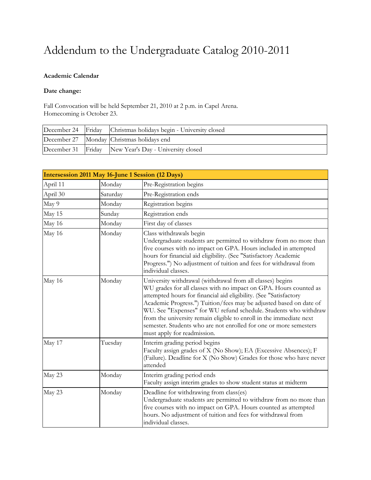# Addendum to the Undergraduate Catalog 2010-2011

#### **Academic Calendar**

#### **Date change:**

Fall Convocation will be held September 21, 2010 at 2 p.m. in Capel Arena. Homecoming is October 23.

|  | December 24 Friday Christmas holidays begin - University closed |
|--|-----------------------------------------------------------------|
|  | December 27 Monday Christmas holidays end                       |
|  | December 31 Friday New Year's Day - University closed           |

| Intersession 2011 May 16-June 1 Session (12 Days) |          |                                                                                                                                                                                                                                                                                                                                                                                                                                                                                                                           |  |
|---------------------------------------------------|----------|---------------------------------------------------------------------------------------------------------------------------------------------------------------------------------------------------------------------------------------------------------------------------------------------------------------------------------------------------------------------------------------------------------------------------------------------------------------------------------------------------------------------------|--|
| April 11                                          | Monday   | Pre-Registration begins                                                                                                                                                                                                                                                                                                                                                                                                                                                                                                   |  |
| April 30                                          | Saturday | Pre-Registration ends                                                                                                                                                                                                                                                                                                                                                                                                                                                                                                     |  |
| May 9                                             | Monday   | Registration begins                                                                                                                                                                                                                                                                                                                                                                                                                                                                                                       |  |
| May 15                                            | Sunday   | Registration ends                                                                                                                                                                                                                                                                                                                                                                                                                                                                                                         |  |
| May 16                                            | Monday   | First day of classes                                                                                                                                                                                                                                                                                                                                                                                                                                                                                                      |  |
| May 16                                            | Monday   | Class withdrawals begin<br>Undergraduate students are permitted to withdraw from no more than<br>five courses with no impact on GPA. Hours included in attempted<br>hours for financial aid eligibility. (See "Satisfactory Academic<br>Progress.") No adjustment of tuition and fees for withdrawal from<br>individual classes.                                                                                                                                                                                          |  |
| May 16                                            | Monday   | University withdrawal (withdrawal from all classes) begins<br>WU grades for all classes with no impact on GPA. Hours counted as<br>attempted hours for financial aid eligibility. (See "Satisfactory<br>Academic Progress.") Tuition/fees may be adjusted based on date of<br>WU. See "Expenses" for WU refund schedule. Students who withdraw<br>from the university remain eligible to enroll in the immediate next<br>semester. Students who are not enrolled for one or more semesters<br>must apply for readmission. |  |
| May 17                                            | Tuesday  | Interim grading period begins<br>Faculty assign grades of X (No Show); EA (Excessive Absences); F<br>(Failure). Deadline for X (No Show) Grades for those who have never<br>attended                                                                                                                                                                                                                                                                                                                                      |  |
| May 23                                            | Monday   | Interim grading period ends<br>Faculty assign interim grades to show student status at midterm                                                                                                                                                                                                                                                                                                                                                                                                                            |  |
| May 23                                            | Monday   | Deadline for withdrawing from class(es)<br>Undergraduate students are permitted to withdraw from no more than<br>five courses with no impact on GPA. Hours counted as attempted<br>hours. No adjustment of tuition and fees for withdrawal from<br>individual classes.                                                                                                                                                                                                                                                    |  |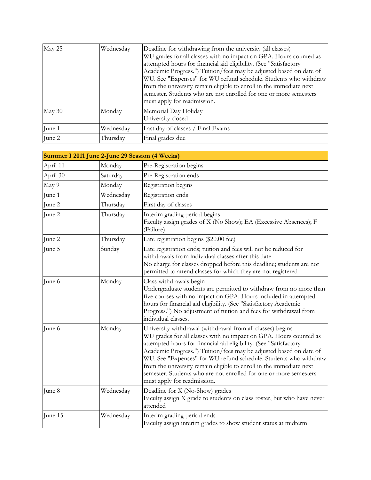| May 25 | Wednesday | Deadline for withdrawing from the university (all classes)<br>WU grades for all classes with no impact on GPA. Hours counted as<br>attempted hours for financial aid eligibility. (See "Satisfactory<br>Academic Progress.") Tuition/fees may be adjusted based on date of<br>WU. See "Expenses" for WU refund schedule. Students who withdraw<br>from the university remain eligible to enroll in the immediate next<br>semester. Students who are not enrolled for one or more semesters<br>must apply for readmission. |
|--------|-----------|---------------------------------------------------------------------------------------------------------------------------------------------------------------------------------------------------------------------------------------------------------------------------------------------------------------------------------------------------------------------------------------------------------------------------------------------------------------------------------------------------------------------------|
| May 30 | Monday    | Memorial Day Holiday<br>University closed                                                                                                                                                                                                                                                                                                                                                                                                                                                                                 |
| June 1 | Wednesday | Last day of classes / Final Exams                                                                                                                                                                                                                                                                                                                                                                                                                                                                                         |
| June 2 | Thursday  | Final grades due                                                                                                                                                                                                                                                                                                                                                                                                                                                                                                          |

| Summer I 2011 June 2-June 29 Session (4 Weeks) |           |                                                                                                                                                                                                                                                                                                                                                                                                                                                                                                                           |  |
|------------------------------------------------|-----------|---------------------------------------------------------------------------------------------------------------------------------------------------------------------------------------------------------------------------------------------------------------------------------------------------------------------------------------------------------------------------------------------------------------------------------------------------------------------------------------------------------------------------|--|
| April 11                                       | Monday    | Pre-Registration begins                                                                                                                                                                                                                                                                                                                                                                                                                                                                                                   |  |
| April 30                                       | Saturday  | Pre-Registration ends                                                                                                                                                                                                                                                                                                                                                                                                                                                                                                     |  |
| May 9                                          | Monday    | Registration begins                                                                                                                                                                                                                                                                                                                                                                                                                                                                                                       |  |
| June 1                                         | Wednesday | Registration ends                                                                                                                                                                                                                                                                                                                                                                                                                                                                                                         |  |
| June 2                                         | Thursday  | First day of classes                                                                                                                                                                                                                                                                                                                                                                                                                                                                                                      |  |
| June 2                                         | Thursday  | Interim grading period begins<br>Faculty assign grades of X (No Show); EA (Excessive Absences); F<br>(Failure)                                                                                                                                                                                                                                                                                                                                                                                                            |  |
| June 2                                         | Thursday  | Late registration begins (\$20.00 fee)                                                                                                                                                                                                                                                                                                                                                                                                                                                                                    |  |
| June 5                                         | Sunday    | Late registration ends; tuition and fees will not be reduced for<br>withdrawals from individual classes after this date<br>No charge for classes dropped before this deadline; students are not<br>permitted to attend classes for which they are not registered                                                                                                                                                                                                                                                          |  |
| June 6                                         | Monday    | Class withdrawals begin<br>Undergraduate students are permitted to withdraw from no more than<br>five courses with no impact on GPA. Hours included in attempted<br>hours for financial aid eligibility. (See "Satisfactory Academic<br>Progress.") No adjustment of tuition and fees for withdrawal from<br>individual classes.                                                                                                                                                                                          |  |
| June 6                                         | Monday    | University withdrawal (withdrawal from all classes) begins<br>WU grades for all classes with no impact on GPA. Hours counted as<br>attempted hours for financial aid eligibility. (See "Satisfactory<br>Academic Progress.") Tuition/fees may be adjusted based on date of<br>WU. See "Expenses" for WU refund schedule. Students who withdraw<br>from the university remain eligible to enroll in the immediate next<br>semester. Students who are not enrolled for one or more semesters<br>must apply for readmission. |  |
| June 8                                         | Wednesday | Deadline for X (No-Show) grades<br>Faculty assign X grade to students on class roster, but who have never<br>attended                                                                                                                                                                                                                                                                                                                                                                                                     |  |
| June 15                                        | Wednesday | Interim grading period ends<br>Faculty assign interim grades to show student status at midterm                                                                                                                                                                                                                                                                                                                                                                                                                            |  |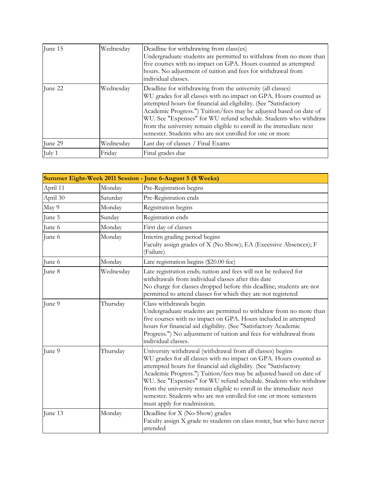| June 15 | Wednesday | Deadline for withdrawing from class(es)<br>Undergraduate students are permitted to withdraw from no more than<br>five courses with no impact on GPA. Hours counted as attempted<br>hours. No adjustment of tuition and fees for withdrawal from<br>individual classes.                                                                                                                                                                                                           |
|---------|-----------|----------------------------------------------------------------------------------------------------------------------------------------------------------------------------------------------------------------------------------------------------------------------------------------------------------------------------------------------------------------------------------------------------------------------------------------------------------------------------------|
| June 22 | Wednesday | Deadline for withdrawing from the university (all classes)<br>WU grades for all classes with no impact on GPA. Hours counted as<br>attempted hours for financial aid eligibility. (See "Satisfactory<br>Academic Progress.") Tuition/fees may be adjusted based on date of<br>WU. See "Expenses" for WU refund schedule. Students who withdraw<br>from the university remain eligible to enroll in the immediate next<br>semester. Students who are not enrolled for one or more |
| June 29 | Wednesday | Last day of classes / Final Exams                                                                                                                                                                                                                                                                                                                                                                                                                                                |
| July 1  | Friday    | Final grades due                                                                                                                                                                                                                                                                                                                                                                                                                                                                 |

|          |           | Summer Eight-Week 2011 Session - June 6-August 5 (8 Weeks)                                                                                                                                                                                                                                                                                                                                                                                                                                                                |
|----------|-----------|---------------------------------------------------------------------------------------------------------------------------------------------------------------------------------------------------------------------------------------------------------------------------------------------------------------------------------------------------------------------------------------------------------------------------------------------------------------------------------------------------------------------------|
| April 11 | Monday    | Pre-Registration begins                                                                                                                                                                                                                                                                                                                                                                                                                                                                                                   |
| April 30 | Saturday  | Pre-Registration ends                                                                                                                                                                                                                                                                                                                                                                                                                                                                                                     |
| May 9    | Monday    | Registration begins                                                                                                                                                                                                                                                                                                                                                                                                                                                                                                       |
| June 5   | Sunday    | Registration ends                                                                                                                                                                                                                                                                                                                                                                                                                                                                                                         |
| June 6   | Monday    | First day of classes                                                                                                                                                                                                                                                                                                                                                                                                                                                                                                      |
| June 6   | Monday    | Interim grading period begins<br>Faculty assign grades of X (No Show); EA (Excessive Absences); F<br>(Failure)                                                                                                                                                                                                                                                                                                                                                                                                            |
| June 6   | Monday    | Late registration begins (\$20.00 fee)                                                                                                                                                                                                                                                                                                                                                                                                                                                                                    |
| June 8   | Wednesday | Late registration ends; tuition and fees will not be reduced for<br>withdrawals from individual classes after this date<br>No charge for classes dropped before this deadline; students are not<br>permitted to attend classes for which they are not registered                                                                                                                                                                                                                                                          |
| June 9   | Thursday  | Class withdrawals begin<br>Undergraduate students are permitted to withdraw from no more than<br>five courses with no impact on GPA. Hours included in attempted<br>hours for financial aid eligibility. (See "Satisfactory Academic<br>Progress.") No adjustment of tuition and fees for withdrawal from<br>individual classes.                                                                                                                                                                                          |
| June 9   | Thursday  | University withdrawal (withdrawal from all classes) begins<br>WU grades for all classes with no impact on GPA. Hours counted as<br>attempted hours for financial aid eligibility. (See "Satisfactory<br>Academic Progress.") Tuition/fees may be adjusted based on date of<br>WU. See "Expenses" for WU refund schedule. Students who withdraw<br>from the university remain eligible to enroll in the immediate next<br>semester. Students who are not enrolled for one or more semesters<br>must apply for readmission. |
| June 13  | Monday    | Deadline for X (No-Show) grades<br>Faculty assign X grade to students on class roster, but who have never<br>attended                                                                                                                                                                                                                                                                                                                                                                                                     |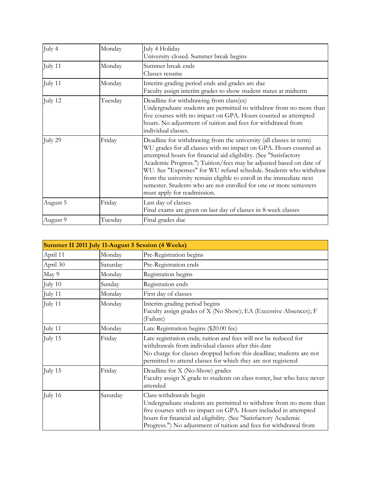| July 4   | Monday  | July 4 Holiday<br>University closed. Summer break begins                                                                                                                                                                                                                                                                                                                                                                                                                                                                          |
|----------|---------|-----------------------------------------------------------------------------------------------------------------------------------------------------------------------------------------------------------------------------------------------------------------------------------------------------------------------------------------------------------------------------------------------------------------------------------------------------------------------------------------------------------------------------------|
| July 11  | Monday  | Summer break ends<br>Classes resume                                                                                                                                                                                                                                                                                                                                                                                                                                                                                               |
| July 11  | Monday  | Interim grading period ends and grades are due<br>Faculty assign interim grades to show student status at midterm                                                                                                                                                                                                                                                                                                                                                                                                                 |
| July 12  | Tuesday | Deadline for withdrawing from class(es)<br>Undergraduate students are permitted to withdraw from no more than<br>five courses with no impact on GPA. Hours counted as attempted<br>hours. No adjustment of tuition and fees for withdrawal from<br>individual classes.                                                                                                                                                                                                                                                            |
| July 29  | Friday  | Deadline for withdrawing from the university (all classes in term)<br>WU grades for all classes with no impact on GPA. Hours counted as<br>attempted hours for financial aid eligibility. (See "Satisfactory<br>Academic Progress.") Tuition/fees may be adjusted based on date of<br>WU. See "Expenses" for WU refund schedule. Students who withdraw<br>from the university remain eligible to enroll in the immediate next<br>semester. Students who are not enrolled for one or more semesters<br>must apply for readmission. |
| August 5 | Friday  | Last day of classes<br>Final exams are given on last day of classes in 8-week classes                                                                                                                                                                                                                                                                                                                                                                                                                                             |
| August 9 | Tuesday | Final grades due                                                                                                                                                                                                                                                                                                                                                                                                                                                                                                                  |

| Summer II 2011 July 11-August 5 Session (4 Weeks) |          |                                                                                                                                                                                                                                                                                                           |
|---------------------------------------------------|----------|-----------------------------------------------------------------------------------------------------------------------------------------------------------------------------------------------------------------------------------------------------------------------------------------------------------|
| April 11                                          | Monday   | Pre-Registration begins                                                                                                                                                                                                                                                                                   |
| April 30                                          | Saturday | Pre-Registration ends                                                                                                                                                                                                                                                                                     |
| May 9                                             | Monday   | Registration begins                                                                                                                                                                                                                                                                                       |
| July 10                                           | Sunday   | Registration ends                                                                                                                                                                                                                                                                                         |
| July 11                                           | Monday   | First day of classes                                                                                                                                                                                                                                                                                      |
| July 11                                           | Monday   | Interim grading period begins<br>Faculty assign grades of X (No Show); EA (Excessive Absences); F<br>(Failure)                                                                                                                                                                                            |
| July 11                                           | Monday   | Late Registration begins (\$20.00 fee)                                                                                                                                                                                                                                                                    |
| July 15                                           | Friday   | Late registration ends; tuition and fees will not be reduced for<br>withdrawals from individual classes after this date<br>No charge for classes dropped before this deadline; students are not<br>permitted to attend classes for which they are not registered                                          |
| July 15                                           | Friday   | Deadline for X (No-Show) grades<br>Faculty assign X grade to students on class roster, but who have never<br>attended                                                                                                                                                                                     |
| July 16                                           | Saturday | Class withdrawals begin<br>Undergraduate students are permitted to withdraw from no more than<br>five courses with no impact on GPA. Hours included in attempted<br>hours for financial aid eligibility. (See "Satisfactory Academic<br>Progress.") No adjustment of tuition and fees for withdrawal from |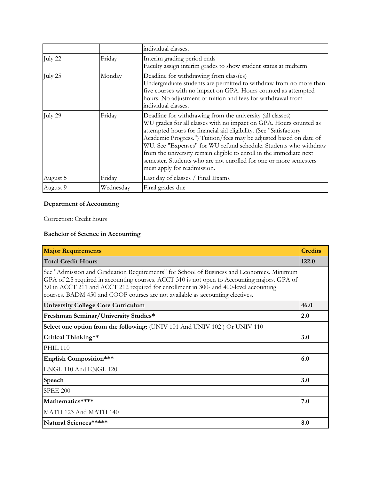|          |           | individual classes.                                                                                                                                                                                                                                                                                                                                                                                                                                                                                                       |
|----------|-----------|---------------------------------------------------------------------------------------------------------------------------------------------------------------------------------------------------------------------------------------------------------------------------------------------------------------------------------------------------------------------------------------------------------------------------------------------------------------------------------------------------------------------------|
| July 22  | Friday    | Interim grading period ends<br>Faculty assign interim grades to show student status at midterm                                                                                                                                                                                                                                                                                                                                                                                                                            |
| July 25  | Monday    | Deadline for withdrawing from class(es)<br>Undergraduate students are permitted to withdraw from no more than<br>five courses with no impact on GPA. Hours counted as attempted<br>hours. No adjustment of tuition and fees for withdrawal from<br>individual classes.                                                                                                                                                                                                                                                    |
| July 29  | Friday    | Deadline for withdrawing from the university (all classes)<br>WU grades for all classes with no impact on GPA. Hours counted as<br>attempted hours for financial aid eligibility. (See "Satisfactory<br>Academic Progress.") Tuition/fees may be adjusted based on date of<br>WU. See "Expenses" for WU refund schedule. Students who withdraw<br>from the university remain eligible to enroll in the immediate next<br>semester. Students who are not enrolled for one or more semesters<br>must apply for readmission. |
| August 5 | Friday    | Last day of classes / Final Exams                                                                                                                                                                                                                                                                                                                                                                                                                                                                                         |
| August 9 | Wednesday | Final grades due                                                                                                                                                                                                                                                                                                                                                                                                                                                                                                          |

# **Department of Accounting**

Correction: Credit hours

## **Bachelor of Science in Accounting**

| <b>Major Requirements</b>                                                                                                                                                                                                                                                                                                                                           | <b>Credits</b> |
|---------------------------------------------------------------------------------------------------------------------------------------------------------------------------------------------------------------------------------------------------------------------------------------------------------------------------------------------------------------------|----------------|
| <b>Total Credit Hours</b>                                                                                                                                                                                                                                                                                                                                           | 122.0          |
| See "Admission and Graduation Requirements" for School of Business and Economics. Minimum<br>GPA of 2.5 required in accounting courses. ACCT 310 is not open to Accounting majors. GPA of<br>3.0 in ACCT 211 and ACCT 212 required for enrollment in 300- and 400-level accounting<br>courses. BADM 450 and COOP courses are not available as accounting electives. |                |
| <b>University College Core Curriculum</b>                                                                                                                                                                                                                                                                                                                           | 46.0           |
| Freshman Seminar/University Studies*                                                                                                                                                                                                                                                                                                                                | 2.0            |
| Select one option from the following: (UNIV 101 And UNIV 102) Or UNIV 110                                                                                                                                                                                                                                                                                           |                |
| Critical Thinking**                                                                                                                                                                                                                                                                                                                                                 | 3.0            |
| <b>PHIL 110</b>                                                                                                                                                                                                                                                                                                                                                     |                |
| <b>English Composition***</b>                                                                                                                                                                                                                                                                                                                                       | 6.0            |
| ENGL 110 And ENGL 120                                                                                                                                                                                                                                                                                                                                               |                |
| Speech                                                                                                                                                                                                                                                                                                                                                              | 3.0            |
| <b>SPEE 200</b>                                                                                                                                                                                                                                                                                                                                                     |                |
| Mathematics****                                                                                                                                                                                                                                                                                                                                                     | 7.0            |
| MATH 123 And MATH 140                                                                                                                                                                                                                                                                                                                                               |                |
| Natural Sciences*****                                                                                                                                                                                                                                                                                                                                               | 8.0            |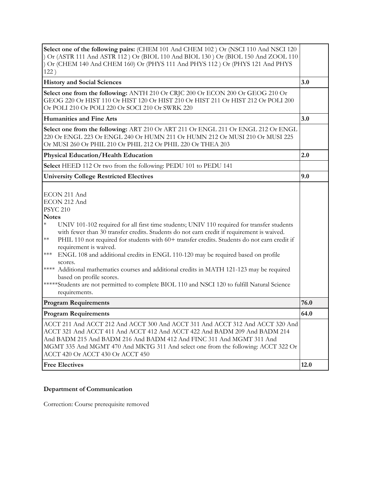| Select one of the following pairs: (CHEM 101 And CHEM 102) Or (NSCI 110 And NSCI 120<br>) Or (ASTR 111 And ASTR 112) Or (BIOL 110 And BIOL 130) Or (BIOL 150 And ZOOL 110<br>Or (CHEM 140 And CHEM 160) Or (PHYS 111 And PHYS 112) Or (PHYS 121 And PHYS<br>122)                                                                                                                                                                                                                                                                                                                                                                                                                                                                                                 |      |
|------------------------------------------------------------------------------------------------------------------------------------------------------------------------------------------------------------------------------------------------------------------------------------------------------------------------------------------------------------------------------------------------------------------------------------------------------------------------------------------------------------------------------------------------------------------------------------------------------------------------------------------------------------------------------------------------------------------------------------------------------------------|------|
| <b>History and Social Sciences</b>                                                                                                                                                                                                                                                                                                                                                                                                                                                                                                                                                                                                                                                                                                                               | 3.0  |
| Select one from the following: ANTH 210 Or CRJC 200 Or ECON 200 Or GEOG 210 Or<br>GEOG 220 Or HIST 110 Or HIST 120 Or HIST 210 Or HIST 211 Or HIST 212 Or POLI 200<br>Or POLI 210 Or POLI 220 Or SOCI 210 Or SWRK 220                                                                                                                                                                                                                                                                                                                                                                                                                                                                                                                                            |      |
| <b>Humanities and Fine Arts</b>                                                                                                                                                                                                                                                                                                                                                                                                                                                                                                                                                                                                                                                                                                                                  | 3.0  |
| Select one from the following: ART 210 Or ART 211 Or ENGL 211 Or ENGL 212 Or ENGL<br>220 Or ENGL 223 Or ENGL 240 Or HUMN 211 Or HUMN 212 Or MUSI 210 Or MUSI 225<br>Or MUSI 260 Or PHIL 210 Or PHIL 212 Or PHIL 220 Or THEA 203                                                                                                                                                                                                                                                                                                                                                                                                                                                                                                                                  |      |
| <b>Physical Education/Health Education</b>                                                                                                                                                                                                                                                                                                                                                                                                                                                                                                                                                                                                                                                                                                                       | 2.0  |
| Select HEED 112 Or two from the following: PEDU 101 to PEDU 141                                                                                                                                                                                                                                                                                                                                                                                                                                                                                                                                                                                                                                                                                                  |      |
| <b>University College Restricted Electives</b>                                                                                                                                                                                                                                                                                                                                                                                                                                                                                                                                                                                                                                                                                                                   | 9.0  |
| ECON 211 And<br>ECON 212 And<br><b>PSYC 210</b><br><b>Notes</b><br>$\ast$<br>UNIV 101-102 required for all first time students; UNIV 110 required for transfer students<br>with fewer than 30 transfer credits. Students do not earn credit if requirement is waived.<br>$\ast\ast$<br>PHIL 110 not required for students with 60+ transfer credits. Students do not earn credit if<br>requirement is waived.<br>ENGL 108 and additional credits in ENGL 110-120 may be required based on profile<br>$***$<br>scores.<br>**** Additional mathematics courses and additional credits in MATH 121-123 may be required<br>based on profile scores.<br>*****Students are not permitted to complete BIOL 110 and NSCI 120 to fulfill Natural Science<br>requirements. |      |
| <b>Program Requirements</b>                                                                                                                                                                                                                                                                                                                                                                                                                                                                                                                                                                                                                                                                                                                                      | 76.0 |
| <b>Program Requirements</b>                                                                                                                                                                                                                                                                                                                                                                                                                                                                                                                                                                                                                                                                                                                                      | 64.0 |
| ACCT 211 And ACCT 212 And ACCT 300 And ACCT 311 And ACCT 312 And ACCT 320 And<br>ACCT 321 And ACCT 411 And ACCT 412 And ACCT 422 And BADM 209 And BADM 214<br>And BADM 215 And BADM 216 And BADM 412 And FINC 311 And MGMT 311 And<br>MGMT 335 And MGMT 470 And MKTG 311 And select one from the following: ACCT 322 Or<br>ACCT 420 Or ACCT 430 Or ACCT 450                                                                                                                                                                                                                                                                                                                                                                                                      |      |
| <b>Free Electives</b>                                                                                                                                                                                                                                                                                                                                                                                                                                                                                                                                                                                                                                                                                                                                            | 12.0 |

# **Department of Communication**

Correction: Course prerequisite removed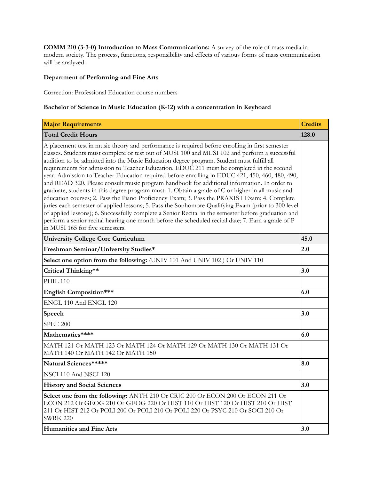**COMM 210 (3-3-0) Introduction to Mass Communications:** A survey of the role of mass media in modern society. The process, functions, responsibility and effects of various forms of mass communication will be analyzed.

#### **Department of Performing and Fine Arts**

Correction: Professional Education course numbers

#### **Bachelor of Science in Music Education (K-12) with a concentration in Keyboard**

| <b>Major Requirements</b>                                                                                                                                                                                                                                                                                                                                                                                                                                                                                                                                                                                                                                                                                                                                                                                                                                                                                                                                                                                                                                                                                                                                 | <b>Credits</b> |
|-----------------------------------------------------------------------------------------------------------------------------------------------------------------------------------------------------------------------------------------------------------------------------------------------------------------------------------------------------------------------------------------------------------------------------------------------------------------------------------------------------------------------------------------------------------------------------------------------------------------------------------------------------------------------------------------------------------------------------------------------------------------------------------------------------------------------------------------------------------------------------------------------------------------------------------------------------------------------------------------------------------------------------------------------------------------------------------------------------------------------------------------------------------|----------------|
| <b>Total Credit Hours</b>                                                                                                                                                                                                                                                                                                                                                                                                                                                                                                                                                                                                                                                                                                                                                                                                                                                                                                                                                                                                                                                                                                                                 | 128.0          |
| A placement test in music theory and performance is required before enrolling in first semester<br>classes. Students must complete or test out of MUSI 100 and MUSI 102 and perform a successful<br>audition to be admitted into the Music Education degree program. Student must fulfill all<br>requirements for admission to Teacher Education. EDUC 211 must be completed in the second<br>year. Admission to Teacher Education required before enrolling in EDUC 421, 450, 460, 480, 490,<br>and READ 320. Please consult music program handbook for additional information. In order to<br>graduate, students in this degree program must: 1. Obtain a grade of C or higher in all music and<br>education courses; 2. Pass the Piano Proficiency Exam; 3. Pass the PRAXIS I Exam; 4. Complete<br>juries each semester of applied lessons; 5. Pass the Sophomore Qualifying Exam (prior to 300 level<br>of applied lessons); 6. Successfully complete a Senior Recital in the semester before graduation and<br>perform a senior recital hearing one month before the scheduled recital date; 7. Earn a grade of P<br>in MUSI 165 for five semesters. |                |
| <b>University College Core Curriculum</b>                                                                                                                                                                                                                                                                                                                                                                                                                                                                                                                                                                                                                                                                                                                                                                                                                                                                                                                                                                                                                                                                                                                 | 45.0           |
| Freshman Seminar/University Studies*                                                                                                                                                                                                                                                                                                                                                                                                                                                                                                                                                                                                                                                                                                                                                                                                                                                                                                                                                                                                                                                                                                                      | 2.0            |
| Select one option from the following: (UNIV 101 And UNIV 102) Or UNIV 110                                                                                                                                                                                                                                                                                                                                                                                                                                                                                                                                                                                                                                                                                                                                                                                                                                                                                                                                                                                                                                                                                 |                |
| Critical Thinking**                                                                                                                                                                                                                                                                                                                                                                                                                                                                                                                                                                                                                                                                                                                                                                                                                                                                                                                                                                                                                                                                                                                                       | 3.0            |
| <b>PHIL 110</b>                                                                                                                                                                                                                                                                                                                                                                                                                                                                                                                                                                                                                                                                                                                                                                                                                                                                                                                                                                                                                                                                                                                                           |                |
| <b>English Composition***</b>                                                                                                                                                                                                                                                                                                                                                                                                                                                                                                                                                                                                                                                                                                                                                                                                                                                                                                                                                                                                                                                                                                                             | 6.0            |
| ENGL 110 And ENGL 120                                                                                                                                                                                                                                                                                                                                                                                                                                                                                                                                                                                                                                                                                                                                                                                                                                                                                                                                                                                                                                                                                                                                     |                |
| Speech                                                                                                                                                                                                                                                                                                                                                                                                                                                                                                                                                                                                                                                                                                                                                                                                                                                                                                                                                                                                                                                                                                                                                    | 3.0            |
| <b>SPEE 200</b>                                                                                                                                                                                                                                                                                                                                                                                                                                                                                                                                                                                                                                                                                                                                                                                                                                                                                                                                                                                                                                                                                                                                           |                |
| Mathematics****                                                                                                                                                                                                                                                                                                                                                                                                                                                                                                                                                                                                                                                                                                                                                                                                                                                                                                                                                                                                                                                                                                                                           | 6.0            |
| MATH 121 Or MATH 123 Or MATH 124 Or MATH 129 Or MATH 130 Or MATH 131 Or<br>MATH 140 Or MATH 142 Or MATH 150                                                                                                                                                                                                                                                                                                                                                                                                                                                                                                                                                                                                                                                                                                                                                                                                                                                                                                                                                                                                                                               |                |
| Natural Sciences*****                                                                                                                                                                                                                                                                                                                                                                                                                                                                                                                                                                                                                                                                                                                                                                                                                                                                                                                                                                                                                                                                                                                                     | 8.0            |
| NSCI 110 And NSCI 120                                                                                                                                                                                                                                                                                                                                                                                                                                                                                                                                                                                                                                                                                                                                                                                                                                                                                                                                                                                                                                                                                                                                     |                |
| <b>History and Social Sciences</b>                                                                                                                                                                                                                                                                                                                                                                                                                                                                                                                                                                                                                                                                                                                                                                                                                                                                                                                                                                                                                                                                                                                        | 3.0            |
| Select one from the following: ANTH 210 Or CRJC 200 Or ECON 200 Or ECON 211 Or<br>ECON 212 Or GEOG 210 Or GEOG 220 Or HIST 110 Or HIST 120 Or HIST 210 Or HIST<br>211 Or HIST 212 Or POLI 200 Or POLI 210 Or POLI 220 Or PSYC 210 Or SOCI 210 Or<br><b>SWRK 220</b>                                                                                                                                                                                                                                                                                                                                                                                                                                                                                                                                                                                                                                                                                                                                                                                                                                                                                       |                |
| <b>Humanities and Fine Arts</b>                                                                                                                                                                                                                                                                                                                                                                                                                                                                                                                                                                                                                                                                                                                                                                                                                                                                                                                                                                                                                                                                                                                           | 3.0            |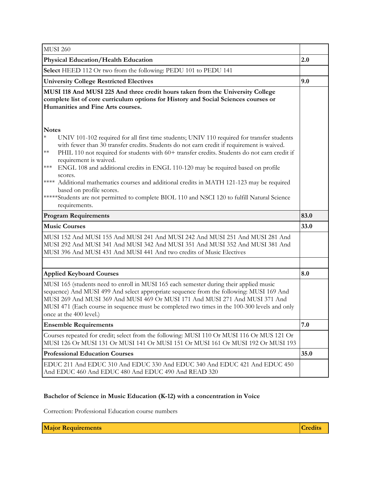| <b>MUSI 260</b>                                                                                                                                                                                                                                                                                                                                                                                                                                              |      |
|--------------------------------------------------------------------------------------------------------------------------------------------------------------------------------------------------------------------------------------------------------------------------------------------------------------------------------------------------------------------------------------------------------------------------------------------------------------|------|
| <b>Physical Education/Health Education</b>                                                                                                                                                                                                                                                                                                                                                                                                                   |      |
| Select HEED 112 Or two from the following: PEDU 101 to PEDU 141                                                                                                                                                                                                                                                                                                                                                                                              |      |
| <b>University College Restricted Electives</b>                                                                                                                                                                                                                                                                                                                                                                                                               |      |
| MUSI 118 And MUSI 225 And three credit hours taken from the University College<br>complete list of core curriculum options for History and Social Sciences courses or<br>Humanities and Fine Arts courses.                                                                                                                                                                                                                                                   |      |
| <b>Notes</b>                                                                                                                                                                                                                                                                                                                                                                                                                                                 |      |
| $\ast$<br>UNIV 101-102 required for all first time students; UNIV 110 required for transfer students<br>with fewer than 30 transfer credits. Students do not earn credit if requirement is waived.<br>PHIL 110 not required for students with 60+ transfer credits. Students do not earn credit if<br>$**$<br>requirement is waived.<br>$\star\!\star\!\star$<br>ENGL 108 and additional credits in ENGL 110-120 may be required based on profile<br>scores. |      |
| **** Additional mathematics courses and additional credits in MATH 121-123 may be required<br>based on profile scores.<br>*****Students are not permitted to complete BIOL 110 and NSCI 120 to fulfill Natural Science                                                                                                                                                                                                                                       |      |
| requirements.                                                                                                                                                                                                                                                                                                                                                                                                                                                |      |
|                                                                                                                                                                                                                                                                                                                                                                                                                                                              |      |
| <b>Program Requirements</b>                                                                                                                                                                                                                                                                                                                                                                                                                                  | 83.0 |
| <b>Music Courses</b>                                                                                                                                                                                                                                                                                                                                                                                                                                         | 33.0 |
| MUSI 152 And MUSI 155 And MUSI 241 And MUSI 242 And MUSI 251 And MUSI 281 And<br>MUSI 292 And MUSI 341 And MUSI 342 And MUSI 351 And MUSI 352 And MUSI 381 And<br>MUSI 396 And MUSI 431 And MUSI 441 And two credits of Music Electives                                                                                                                                                                                                                      |      |
|                                                                                                                                                                                                                                                                                                                                                                                                                                                              |      |
| <b>Applied Keyboard Courses</b>                                                                                                                                                                                                                                                                                                                                                                                                                              | 8.0  |
| MUSI 165 (students need to enroll in MUSI 165 each semester during their applied music<br>sequence) And MUSI 499 And select appropriate sequence from the following: MUSI 169 And<br>MUSI 269 And MUSI 369 And MUSI 469 Or MUSI 171 And MUSI 271 And MUSI 371 And<br>MUSI 471 (Each course in sequence must be completed two times in the 100-300 levels and only<br>once at the 400 level.)                                                                 |      |
| <b>Ensemble Requirements</b>                                                                                                                                                                                                                                                                                                                                                                                                                                 | 7.0  |
| Courses repeated for credit; select from the following: MUSI 110 Or MUSI 116 Or MUS 121 Or<br>MUSI 126 Or MUSI 131 Or MUSI 141 Or MUSI 151 Or MUSI 161 Or MUSI 192 Or MUSI 193                                                                                                                                                                                                                                                                               |      |
| <b>Professional Education Courses</b>                                                                                                                                                                                                                                                                                                                                                                                                                        | 35.0 |

## **Bachelor of Science in Music Education (K-12) with a concentration in Voice**

Correction: Professional Education course numbers

**Major Requirements Credits Credits Credits Credits Credits Credits Credits**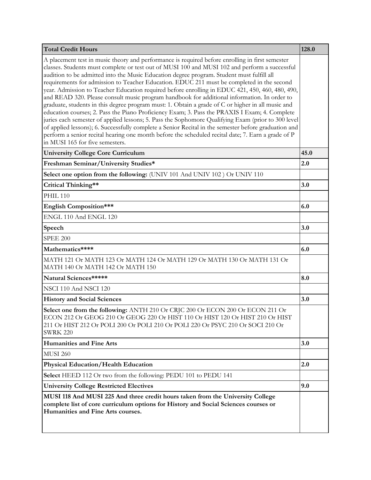| <b>Total Credit Hours</b>                                                                                                                                                                                                                                                                                                                                                                                                                                                                                                                                                                                                                                                                                                                                                                                                                                                                                                                                                                                                                                                                                                                                 | 128.0 |
|-----------------------------------------------------------------------------------------------------------------------------------------------------------------------------------------------------------------------------------------------------------------------------------------------------------------------------------------------------------------------------------------------------------------------------------------------------------------------------------------------------------------------------------------------------------------------------------------------------------------------------------------------------------------------------------------------------------------------------------------------------------------------------------------------------------------------------------------------------------------------------------------------------------------------------------------------------------------------------------------------------------------------------------------------------------------------------------------------------------------------------------------------------------|-------|
| A placement test in music theory and performance is required before enrolling in first semester<br>classes. Students must complete or test out of MUSI 100 and MUSI 102 and perform a successful<br>audition to be admitted into the Music Education degree program. Student must fulfill all<br>requirements for admission to Teacher Education. EDUC 211 must be completed in the second<br>year. Admission to Teacher Education required before enrolling in EDUC 421, 450, 460, 480, 490,<br>and READ 320. Please consult music program handbook for additional information. In order to<br>graduate, students in this degree program must: 1. Obtain a grade of C or higher in all music and<br>education courses; 2. Pass the Piano Proficiency Exam; 3. Pass the PRAXIS I Exam; 4. Complete<br>juries each semester of applied lessons; 5. Pass the Sophomore Qualifying Exam (prior to 300 level<br>of applied lessons); 6. Successfully complete a Senior Recital in the semester before graduation and<br>perform a senior recital hearing one month before the scheduled recital date; 7. Earn a grade of P<br>in MUSI 165 for five semesters. |       |
| <b>University College Core Curriculum</b>                                                                                                                                                                                                                                                                                                                                                                                                                                                                                                                                                                                                                                                                                                                                                                                                                                                                                                                                                                                                                                                                                                                 | 45.0  |
| Freshman Seminar/University Studies*                                                                                                                                                                                                                                                                                                                                                                                                                                                                                                                                                                                                                                                                                                                                                                                                                                                                                                                                                                                                                                                                                                                      | 2.0   |
| Select one option from the following: (UNIV 101 And UNIV 102) Or UNIV 110                                                                                                                                                                                                                                                                                                                                                                                                                                                                                                                                                                                                                                                                                                                                                                                                                                                                                                                                                                                                                                                                                 |       |
| Critical Thinking**                                                                                                                                                                                                                                                                                                                                                                                                                                                                                                                                                                                                                                                                                                                                                                                                                                                                                                                                                                                                                                                                                                                                       | 3.0   |
| <b>PHIL 110</b>                                                                                                                                                                                                                                                                                                                                                                                                                                                                                                                                                                                                                                                                                                                                                                                                                                                                                                                                                                                                                                                                                                                                           |       |
| <b>English Composition***</b>                                                                                                                                                                                                                                                                                                                                                                                                                                                                                                                                                                                                                                                                                                                                                                                                                                                                                                                                                                                                                                                                                                                             | 6.0   |
| ENGL 110 And ENGL 120                                                                                                                                                                                                                                                                                                                                                                                                                                                                                                                                                                                                                                                                                                                                                                                                                                                                                                                                                                                                                                                                                                                                     |       |
| Speech                                                                                                                                                                                                                                                                                                                                                                                                                                                                                                                                                                                                                                                                                                                                                                                                                                                                                                                                                                                                                                                                                                                                                    | 3.0   |
| <b>SPEE 200</b>                                                                                                                                                                                                                                                                                                                                                                                                                                                                                                                                                                                                                                                                                                                                                                                                                                                                                                                                                                                                                                                                                                                                           |       |
| Mathematics****                                                                                                                                                                                                                                                                                                                                                                                                                                                                                                                                                                                                                                                                                                                                                                                                                                                                                                                                                                                                                                                                                                                                           | 6.0   |
| MATH 121 Or MATH 123 Or MATH 124 Or MATH 129 Or MATH 130 Or MATH 131 Or<br>MATH 140 Or MATH 142 Or MATH 150                                                                                                                                                                                                                                                                                                                                                                                                                                                                                                                                                                                                                                                                                                                                                                                                                                                                                                                                                                                                                                               |       |
| Natural Sciences*****                                                                                                                                                                                                                                                                                                                                                                                                                                                                                                                                                                                                                                                                                                                                                                                                                                                                                                                                                                                                                                                                                                                                     | 8.0   |
| NSCI 110 And NSCI 120                                                                                                                                                                                                                                                                                                                                                                                                                                                                                                                                                                                                                                                                                                                                                                                                                                                                                                                                                                                                                                                                                                                                     |       |
| <b>History and Social Sciences</b>                                                                                                                                                                                                                                                                                                                                                                                                                                                                                                                                                                                                                                                                                                                                                                                                                                                                                                                                                                                                                                                                                                                        | 3.0   |
| Select one from the following: ANTH 210 Or CRJC 200 Or ECON 200 Or ECON 211 Or<br>ECON 212 Or GEOG 210 Or GEOG 220 Or HIST 110 Or HIST 120 Or HIST 210 Or HIST<br>211 Or HIST 212 Or POLI 200 Or POLI 210 Or POLI 220 Or PSYC 210 Or SOCI 210 Or<br><b>SWRK 220</b>                                                                                                                                                                                                                                                                                                                                                                                                                                                                                                                                                                                                                                                                                                                                                                                                                                                                                       |       |
| <b>Humanities and Fine Arts</b>                                                                                                                                                                                                                                                                                                                                                                                                                                                                                                                                                                                                                                                                                                                                                                                                                                                                                                                                                                                                                                                                                                                           | 3.0   |
| <b>MUSI 260</b>                                                                                                                                                                                                                                                                                                                                                                                                                                                                                                                                                                                                                                                                                                                                                                                                                                                                                                                                                                                                                                                                                                                                           |       |
| <b>Physical Education/Health Education</b>                                                                                                                                                                                                                                                                                                                                                                                                                                                                                                                                                                                                                                                                                                                                                                                                                                                                                                                                                                                                                                                                                                                | 2.0   |
| Select HEED 112 Or two from the following: PEDU 101 to PEDU 141                                                                                                                                                                                                                                                                                                                                                                                                                                                                                                                                                                                                                                                                                                                                                                                                                                                                                                                                                                                                                                                                                           |       |
| <b>University College Restricted Electives</b>                                                                                                                                                                                                                                                                                                                                                                                                                                                                                                                                                                                                                                                                                                                                                                                                                                                                                                                                                                                                                                                                                                            | 9.0   |
| MUSI 118 And MUSI 225 And three credit hours taken from the University College<br>complete list of core curriculum options for History and Social Sciences courses or<br>Humanities and Fine Arts courses.                                                                                                                                                                                                                                                                                                                                                                                                                                                                                                                                                                                                                                                                                                                                                                                                                                                                                                                                                |       |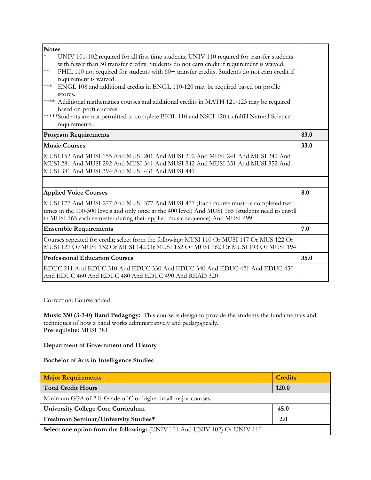| <b>Notes</b>                                                                                         |                                                                                              |      |
|------------------------------------------------------------------------------------------------------|----------------------------------------------------------------------------------------------|------|
| $\ast$<br>UNIV 101-102 required for all first time students; UNIV 110 required for transfer students |                                                                                              |      |
|                                                                                                      | with fewer than 30 transfer credits. Students do not earn credit if requirement is waived.   |      |
| $\ast\ast$                                                                                           | PHIL 110 not required for students with 60+ transfer credits. Students do not earn credit if |      |
|                                                                                                      | requirement is waived.                                                                       |      |
| $\star\!\star\!\star$                                                                                | ENGL 108 and additional credits in ENGL 110-120 may be required based on profile             |      |
|                                                                                                      | scores.                                                                                      |      |
|                                                                                                      | **** Additional mathematics courses and additional credits in MATH 121-123 may be required   |      |
|                                                                                                      | based on profile scores.                                                                     |      |
|                                                                                                      | *****Students are not permitted to complete BIOL 110 and NSCI 120 to fulfill Natural Science |      |
|                                                                                                      | requirements.                                                                                |      |
|                                                                                                      | <b>Program Requirements</b>                                                                  | 83.0 |
|                                                                                                      | <b>Music Courses</b>                                                                         | 33.0 |
|                                                                                                      | MUSI 152 And MUSI 155 And MUSI 201 And MUSI 202 And MUSI 241 And MUSI 242 And                |      |
|                                                                                                      | MUSI 281 And MUSI 292 And MUSI 341 And MUSI 342 And MUSI 351 And MUSI 352 And                |      |
|                                                                                                      | MUSI 381 And MUSI 394 And MUSI 431 And MUSI 441                                              |      |
|                                                                                                      |                                                                                              |      |
|                                                                                                      | <b>Applied Voice Courses</b>                                                                 | 8.0  |
|                                                                                                      | MUSI 177 And MUSI 277 And MUSI 377 And MUSI 477 (Each course must be completed two           |      |
| times in the 100-300 levels and only once at the 400 level) And MUSI 165 (students need to enroll    |                                                                                              |      |
| in MUSI 165 each semester during their applied music sequence) And MUSI 499                          |                                                                                              |      |
|                                                                                                      | <b>Ensemble Requirements</b>                                                                 | 7.0  |
|                                                                                                      | Courses repeated for credit; select from the following: MUSI 110 Or MUSI 117 Or MUS 122 Or   |      |
|                                                                                                      | MUSI 127 Or MUSI 132 Or MUSI 142 Or MUSI 152 Or MUSI 162 Or MUSI 193 Or MUSI 194             |      |
|                                                                                                      | <b>Professional Education Courses</b>                                                        | 35.0 |
|                                                                                                      | EDUC 211 And EDUC 310 And EDUC 330 And EDUC 340 And EDUC 421 And EDUC 450                    |      |
|                                                                                                      | And EDUC 460 And EDUC 480 And EDUC 490 And READ 320                                          |      |

Correction: Course added

**Music 350 (3-3-0) Band Pedagogy:** This course is design to provide the students the fundamentals and techniques of how a band works administratively and pedagogically. **Prerequisite:** MUSI 381

## **Department of Government and History**

#### **Bachelor of Arts in Intelligence Studies**

| <b>Major Requirements</b>                                                 | <b>Credits</b> |  |
|---------------------------------------------------------------------------|----------------|--|
| <b>Total Credit Hours</b>                                                 | <b>120.0</b>   |  |
| Minimum GPA of 2.0. Grade of C or higher in all major courses.            |                |  |
| <b>University College Core Curriculum</b>                                 | 45.0           |  |
| Freshman Seminar/University Studies*                                      | 2.0            |  |
| Select one option from the following: (UNIV 101 And UNIV 102) Or UNIV 110 |                |  |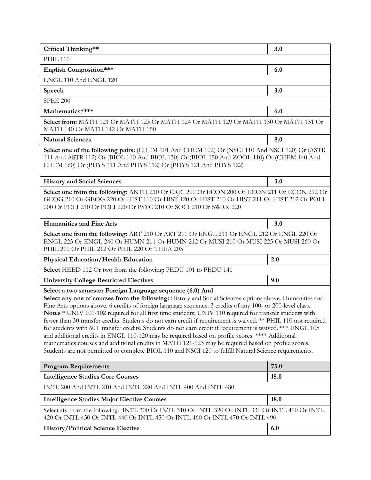| Critical Thinking**                                                                                                                                                                                                                                                                                                                                                                                                                                                                                                                                                                                                                                                                                                                                                                                                                                                                                                                              | 3.0  |  |
|--------------------------------------------------------------------------------------------------------------------------------------------------------------------------------------------------------------------------------------------------------------------------------------------------------------------------------------------------------------------------------------------------------------------------------------------------------------------------------------------------------------------------------------------------------------------------------------------------------------------------------------------------------------------------------------------------------------------------------------------------------------------------------------------------------------------------------------------------------------------------------------------------------------------------------------------------|------|--|
| <b>PHIL 110</b>                                                                                                                                                                                                                                                                                                                                                                                                                                                                                                                                                                                                                                                                                                                                                                                                                                                                                                                                  |      |  |
| <b>English Composition***</b>                                                                                                                                                                                                                                                                                                                                                                                                                                                                                                                                                                                                                                                                                                                                                                                                                                                                                                                    | 6.0  |  |
| ENGL 110 And ENGL 120                                                                                                                                                                                                                                                                                                                                                                                                                                                                                                                                                                                                                                                                                                                                                                                                                                                                                                                            |      |  |
| Speech                                                                                                                                                                                                                                                                                                                                                                                                                                                                                                                                                                                                                                                                                                                                                                                                                                                                                                                                           | 3.0  |  |
| <b>SPEE 200</b>                                                                                                                                                                                                                                                                                                                                                                                                                                                                                                                                                                                                                                                                                                                                                                                                                                                                                                                                  |      |  |
| Mathematics****                                                                                                                                                                                                                                                                                                                                                                                                                                                                                                                                                                                                                                                                                                                                                                                                                                                                                                                                  | 6.0  |  |
| Select from: MATH 121 Or MATH 123 Or MATH 124 Or MATH 129 Or MATH 130 Or MATH 131 Or<br>MATH 140 Or MATH 142 Or MATH 150                                                                                                                                                                                                                                                                                                                                                                                                                                                                                                                                                                                                                                                                                                                                                                                                                         |      |  |
| <b>Natural Sciences</b>                                                                                                                                                                                                                                                                                                                                                                                                                                                                                                                                                                                                                                                                                                                                                                                                                                                                                                                          | 8.0  |  |
| Select one of the following pairs: (CHEM 101 And CHEM 102) Or (NSCI 110 And NSCI 120) Or (ASTR<br>111 And ASTR 112) Or (BIOL 110 And BIOL 130) Or (BIOL 150 And ZOOL 110) Or (CHEM 140 And<br>CHEM 160) Or (PHYS 111 And PHYS 112) Or (PHYS 121 And PHYS 122)                                                                                                                                                                                                                                                                                                                                                                                                                                                                                                                                                                                                                                                                                    |      |  |
| <b>History and Social Sciences</b>                                                                                                                                                                                                                                                                                                                                                                                                                                                                                                                                                                                                                                                                                                                                                                                                                                                                                                               | 3.0  |  |
| Select one from the following: ANTH 210 Or CRJC 200 Or ECON 200 Or ECON 211 Or ECON 212 Or<br>GEOG 210 Or GEOG 220 Or HIST 110 Or HIST 120 Or HIST 210 Or HIST 211 Or HIST 212 Or POLI<br>200 Or POLI 210 Or POLI 220 Or PSYC 210 Or SOCI 210 Or SWRK 220                                                                                                                                                                                                                                                                                                                                                                                                                                                                                                                                                                                                                                                                                        |      |  |
| <b>Humanities and Fine Arts</b>                                                                                                                                                                                                                                                                                                                                                                                                                                                                                                                                                                                                                                                                                                                                                                                                                                                                                                                  | 3.0  |  |
| Select one from the following: ART 210 Or ART 211 Or ENGL 211 Or ENGL 212 Or ENGL 220 Or<br>ENGL 223 Or ENGL 240 Or HUMN 211 Or HUMN 212 Or MUSI 210 Or MUSI 225 Or MUSI 260 Or<br>PHIL 210 Or PHIL 212 Or PHIL 220 Or THEA 203                                                                                                                                                                                                                                                                                                                                                                                                                                                                                                                                                                                                                                                                                                                  |      |  |
| <b>Physical Education/Health Education</b>                                                                                                                                                                                                                                                                                                                                                                                                                                                                                                                                                                                                                                                                                                                                                                                                                                                                                                       | 2.0  |  |
| Select HEED 112 Or two from the following: PEDU 101 to PEDU 141                                                                                                                                                                                                                                                                                                                                                                                                                                                                                                                                                                                                                                                                                                                                                                                                                                                                                  |      |  |
| <b>University College Restricted Electives</b>                                                                                                                                                                                                                                                                                                                                                                                                                                                                                                                                                                                                                                                                                                                                                                                                                                                                                                   | 9.0  |  |
| Select a two semester Foreign Language sequence (6.0) And<br>Select any one of courses from the following: History and Social Sciences options above. Humanities and<br>Fine Arts options above. 6 credits of foreign language sequence. 3 credits of any 100- or 200-level class.<br>Notes * UNIV 101-102 required for all first time students; UNIV 110 required for transfer students with<br>fewer than 30 transfer credits. Students do not earn credit if requirement is waived. ** PHIL 110 not required<br>for students with 60+ transfer credits. Students do not earn credit if requirement is waived. *** ENGL 108<br>and additional credits in ENGL 110-120 may be required based on profile scores. **** Additional<br>mathematics courses and additional credits in MATH 121-123 may be required based on profile scores.<br>Students are not permitted to complete BIOL 110 and NSCI 120 to fulfill Natural Science requirements. |      |  |
| <b>Program Requirements</b>                                                                                                                                                                                                                                                                                                                                                                                                                                                                                                                                                                                                                                                                                                                                                                                                                                                                                                                      | 75.0 |  |
| <b>Intelligence Studies Core Courses</b>                                                                                                                                                                                                                                                                                                                                                                                                                                                                                                                                                                                                                                                                                                                                                                                                                                                                                                         | 15.0 |  |
| INTL 200 And INTL 210 And INTL 220 And INTL 400 And INTL 480                                                                                                                                                                                                                                                                                                                                                                                                                                                                                                                                                                                                                                                                                                                                                                                                                                                                                     |      |  |
| <b>Intelligence Studies Major Elective Courses</b>                                                                                                                                                                                                                                                                                                                                                                                                                                                                                                                                                                                                                                                                                                                                                                                                                                                                                               | 18.0 |  |
| Select six from the following: INTL 300 Or INTL 310 Or INTL 320 Or INTL 330 Or INTL 410 Or INTL<br>420 Or INTL 430 Or INTL 440 Or INTL 450 Or INTL 460 Or INTL 470 Or INTL 490                                                                                                                                                                                                                                                                                                                                                                                                                                                                                                                                                                                                                                                                                                                                                                   |      |  |
| <b>History/Political Science Elective</b>                                                                                                                                                                                                                                                                                                                                                                                                                                                                                                                                                                                                                                                                                                                                                                                                                                                                                                        | 6.0  |  |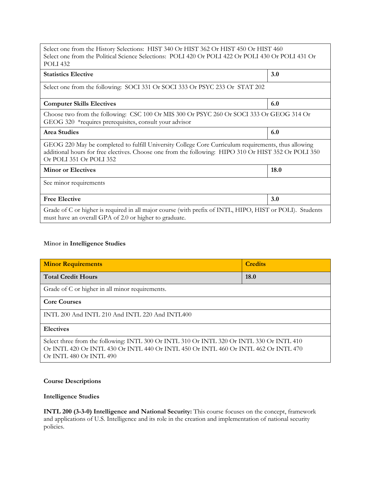| Select one from the History Selections: HIST 340 Or HIST 362 Or HIST 450 Or HIST 460<br>Select one from the Political Science Selections: POLI 420 Or POLI 422 Or POLI 430 Or POLI 431 Or<br><b>POLI</b> 432                           |      |  |  |
|----------------------------------------------------------------------------------------------------------------------------------------------------------------------------------------------------------------------------------------|------|--|--|
| <b>Statistics Elective</b>                                                                                                                                                                                                             | 3.0  |  |  |
| Select one from the following: SOCI 331 Or SOCI 333 Or PSYC 233 Or STAT 202                                                                                                                                                            |      |  |  |
| <b>Computer Skills Electives</b>                                                                                                                                                                                                       | 6.0  |  |  |
| Choose two from the following: CSC 100 Or MIS 300 Or PSYC 260 Or SOCI 333 Or GEOG 314 Or<br>GEOG 320 *requires prerequisites, consult your advisor                                                                                     |      |  |  |
| <b>Area Studies</b>                                                                                                                                                                                                                    | 6.0  |  |  |
| GEOG 220 May be completed to fulfill University College Core Curriculum requirements, thus allowing<br>additional hours for free electives. Choose one from the following: HIPO 310 Or HIST 352 Or POLI 350<br>Or POLI 351 Or POLI 352 |      |  |  |
| <b>Minor or Electives</b>                                                                                                                                                                                                              | 18.0 |  |  |
| See minor requirements                                                                                                                                                                                                                 |      |  |  |
| <b>Free Elective</b>                                                                                                                                                                                                                   | 3.0  |  |  |
| Grade of C or higher is required in all major course (with prefix of INTL, HIPO, HIST or POLI). Students<br>must have an overall GPA of 2.0 or higher to graduate.                                                                     |      |  |  |

#### **Minor in Intelligence Studies**

| <b>Minor Requirements</b>                                                                                                                                                                                   | <b>Credits</b> |  |
|-------------------------------------------------------------------------------------------------------------------------------------------------------------------------------------------------------------|----------------|--|
| <b>Total Credit Hours</b>                                                                                                                                                                                   | <b>18.0</b>    |  |
| Grade of C or higher in all minor requirements.                                                                                                                                                             |                |  |
| <b>Core Courses</b>                                                                                                                                                                                         |                |  |
| INTL 200 And INTL 210 And INTL 220 And INTL400                                                                                                                                                              |                |  |
| <b>Electives</b>                                                                                                                                                                                            |                |  |
| Select three from the following: INTL 300 Or INTL 310 Or INTL 320 Or INTL 330 Or INTL 410<br>Or INTL 420 Or INTL 430 Or INTL 440 Or INTL 450 Or INTL 460 Or INTL 462 Or INTL 470<br>Or INTL 480 Or INTL 490 |                |  |

## **Course Descriptions**

#### **Intelligence Studies**

**INTL 200 (3-3-0) Intelligence and National Security:** This course focuses on the concept, framework and applications of U.S. Intelligence and its role in the creation and implementation of national security policies.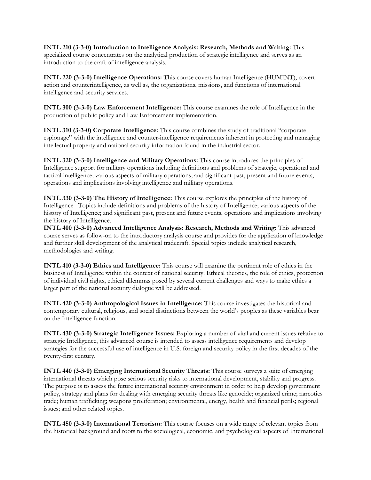**INTL 210 (3-3-0) Introduction to Intelligence Analysis: Research, Methods and Writing:** This specialized course concentrates on the analytical production of strategic intelligence and serves as an introduction to the craft of intelligence analysis.

**INTL 220 (3-3-0) Intelligence Operations:** This course covers human Intelligence (HUMINT), covert action and counterintelligence, as well as, the organizations, missions, and functions of international intelligence and security services.

**INTL 300 (3-3-0) Law Enforcement Intelligence:** This course examines the role of Intelligence in the production of public policy and Law Enforcement implementation.

**INTL 310 (3-3-0) Corporate Intelligence:** This course combines the study of traditional "corporate espionage" with the intelligence and counter-intelligence requirements inherent in protecting and managing intellectual property and national security information found in the industrial sector.

**INTL 320 (3-3-0) Intelligence and Military Operations:** This course introduces the principles of Intelligence support for military operations including definitions and problems of strategic, operational and tactical intelligence; various aspects of military operations; and significant past, present and future events, operations and implications involving intelligence and military operations.

**INTL 330 (3-3-0) The History of Intelligence:** This course explores the principles of the history of Intelligence. Topics include definitions and problems of the history of Intelligence; various aspects of the history of Intelligence; and significant past, present and future events, operations and implications involving the history of Intelligence.

**INTL 400 (3-3-0) Advanced Intelligence Analysis: Research, Methods and Writing:** This advanced course serves as follow-on to the introductory analysis course and provides for the application of knowledge and further skill development of the analytical tradecraft. Special topics include analytical research, methodologies and writing.

**INTL 410 (3-3-0) Ethics and Intelligence:** This course will examine the pertinent role of ethics in the business of Intelligence within the context of national security. Ethical theories, the role of ethics, protection of individual civil rights, ethical dilemmas posed by several current challenges and ways to make ethics a larger part of the national security dialogue will be addressed.

**INTL 420 (3-3-0) Anthropological Issues in Intelligence:** This course investigates the historical and contemporary cultural, religious, and social distinctions between the world's peoples as these variables bear on the Intelligence function.

**INTL 430 (3-3-0) Strategic Intelligence Issues:** Exploring a number of vital and current issues relative to strategic Intelligence, this advanced course is intended to assess intelligence requirements and develop strategies for the successful use of intelligence in U.S. foreign and security policy in the first decades of the twenty-first century.

**INTL 440 (3-3-0) Emerging International Security Threats:** This course surveys a suite of emerging international threats which pose serious security risks to international development, stability and progress. The purpose is to assess the future international security environment in order to help develop government policy, strategy and plans for dealing with emerging security threats like genocide; organized crime; narcotics trade; human trafficking; weapons proliferation; environmental, energy, health and financial perils; regional issues; and other related topics.

**INTL 450 (3-3-0) International Terrorism:** This course focuses on a wide range of relevant topics from the historical background and roots to the sociological, economic, and psychological aspects of International